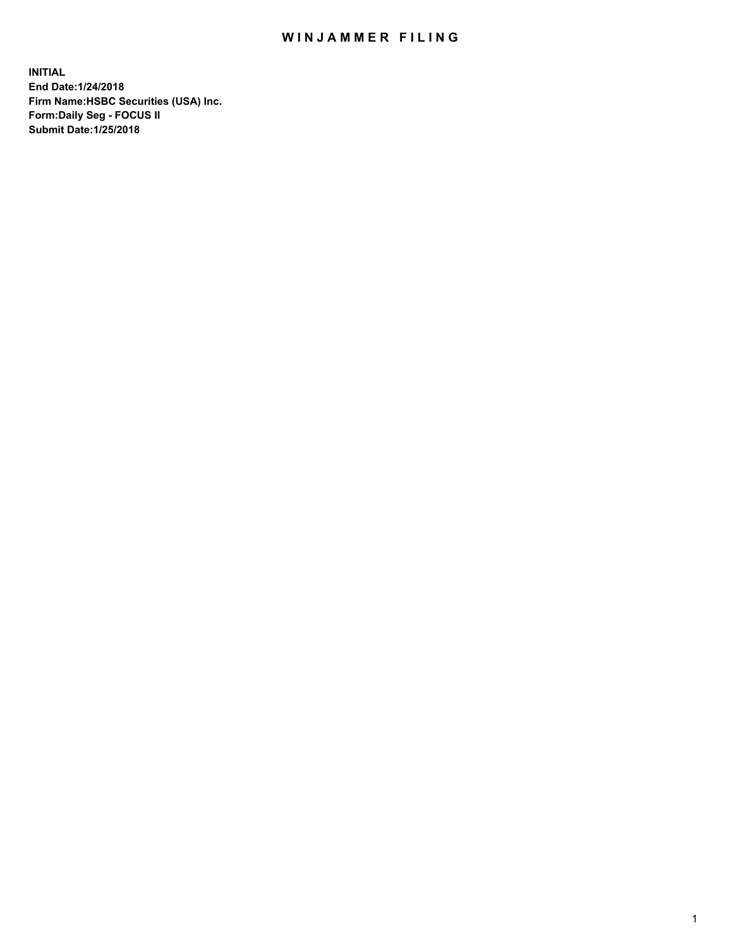## WIN JAMMER FILING

**INITIAL End Date:1/24/2018 Firm Name:HSBC Securities (USA) Inc. Form:Daily Seg - FOCUS II Submit Date:1/25/2018**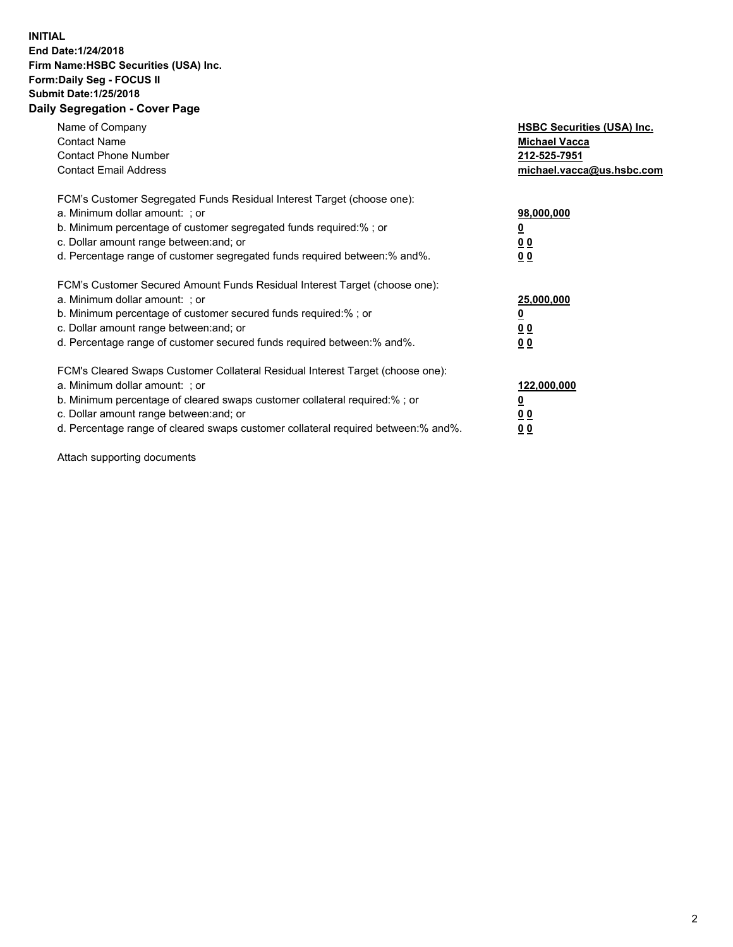## **INITIAL End Date:1/24/2018 Firm Name:HSBC Securities (USA) Inc. Form:Daily Seg - FOCUS II Submit Date:1/25/2018 Daily Segregation - Cover Page**

| Name of Company<br><b>Contact Name</b><br><b>Contact Phone Number</b><br><b>Contact Email Address</b>                                                                                                                                                                                                                         | <b>HSBC Securities (USA) Inc.</b><br><b>Michael Vacca</b><br>212-525-7951<br>michael.vacca@us.hsbc.com |
|-------------------------------------------------------------------------------------------------------------------------------------------------------------------------------------------------------------------------------------------------------------------------------------------------------------------------------|--------------------------------------------------------------------------------------------------------|
| FCM's Customer Segregated Funds Residual Interest Target (choose one):<br>a. Minimum dollar amount: ; or<br>b. Minimum percentage of customer segregated funds required:%; or<br>c. Dollar amount range between: and; or<br>d. Percentage range of customer segregated funds required between: % and %.                       | 98,000,000<br><u>0</u><br><u>00</u><br><u>00</u>                                                       |
| FCM's Customer Secured Amount Funds Residual Interest Target (choose one):<br>a. Minimum dollar amount: ; or<br>b. Minimum percentage of customer secured funds required:%; or<br>c. Dollar amount range between: and; or<br>d. Percentage range of customer secured funds required between: % and %.                         | 25,000,000<br><u>0</u><br><u>00</u><br>00                                                              |
| FCM's Cleared Swaps Customer Collateral Residual Interest Target (choose one):<br>a. Minimum dollar amount: ; or<br>b. Minimum percentage of cleared swaps customer collateral required:%; or<br>c. Dollar amount range between: and; or<br>d. Percentage range of cleared swaps customer collateral required between:% and%. | 122,000,000<br><u>0</u><br><u>00</u><br><u>00</u>                                                      |

Attach supporting documents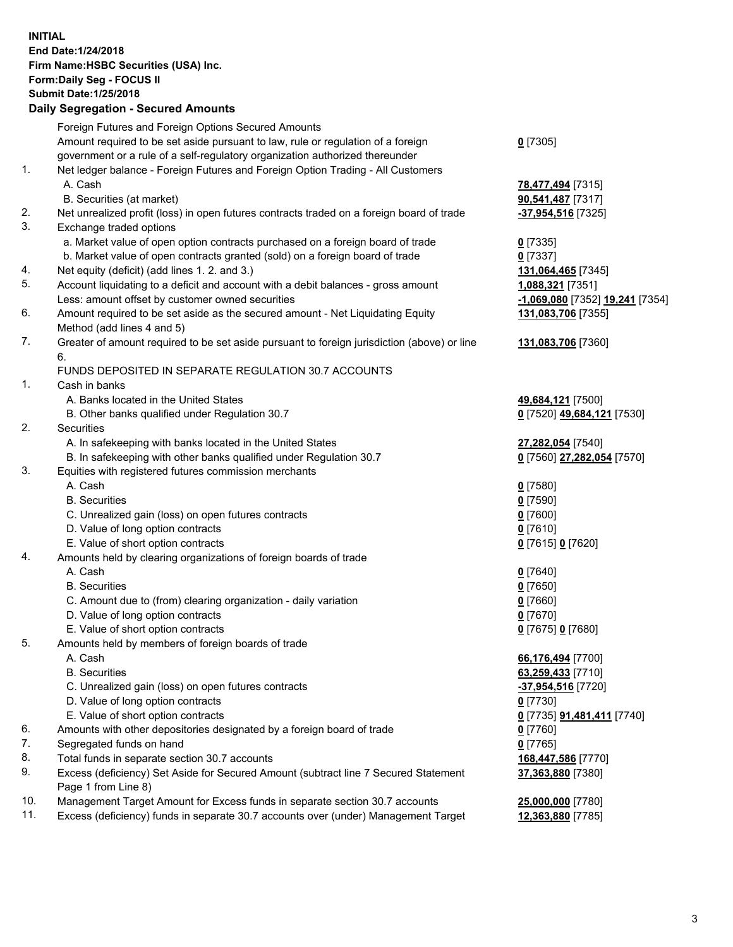**INITIAL End Date:1/24/2018 Firm Name:HSBC Securities (USA) Inc. Form:Daily Seg - FOCUS II Submit Date:1/25/2018 Daily Segregation - Secured Amounts** Foreign Futures and Foreign Options Secured Amounts Amount required to be set aside pursuant to law, rule or regulation of a foreign government or a rule of a self-regulatory organization authorized thereunder 1. Net ledger balance - Foreign Futures and Foreign Option Trading - All Customers A. Cash **78,477,494** [7315] B. Securities (at market) **90,541,487** [7317] 2. Net unrealized profit (loss) in open futures contracts traded on a foreign board of trade **-37,954,516** [7325] 3. Exchange traded options

- a. Market value of open option contracts purchased on a foreign board of trade **0** [7335]
- b. Market value of open contracts granted (sold) on a foreign board of trade **0** [7337]
- 4. Net equity (deficit) (add lines 1. 2. and 3.) **131,064,465** [7345]
- 5. Account liquidating to a deficit and account with a debit balances gross amount **1,088,321** [7351] Less: amount offset by customer owned securities **-1,069,080** [7352] **19,241** [7354]
- 6. Amount required to be set aside as the secured amount Net Liquidating Equity Method (add lines 4 and 5)
- 7. Greater of amount required to be set aside pursuant to foreign jurisdiction (above) or line 6.

## FUNDS DEPOSITED IN SEPARATE REGULATION 30.7 ACCOUNTS

- 1. Cash in banks
	- A. Banks located in the United States **49,684,121** [7500]
	- B. Other banks qualified under Regulation 30.7 **0** [7520] **49,684,121** [7530]
- 2. Securities
	- A. In safekeeping with banks located in the United States **27,282,054** [7540]
	- B. In safekeeping with other banks qualified under Regulation 30.7 **0** [7560] **27,282,054** [7570]
- 3. Equities with registered futures commission merchants
	-
	- B. Securities **0** [7590]
	- C. Unrealized gain (loss) on open futures contracts **0** [7600]
	- D. Value of long option contracts **0** [7610]
	- E. Value of short option contracts **0** [7615] **0** [7620]
- 4. Amounts held by clearing organizations of foreign boards of trade
	-
	-
	- C. Amount due to (from) clearing organization daily variation **0** [7660]
	- D. Value of long option contracts **0** [7670]
	- E. Value of short option contracts **0** [7675] **0** [7680]
- 5. Amounts held by members of foreign boards of trade
	-
	-
	- C. Unrealized gain (loss) on open futures contracts **-37,954,516** [7720]
	- D. Value of long option contracts **0** [7730]
	- E. Value of short option contracts **0** [7735] **91,481,411** [7740]
- 6. Amounts with other depositories designated by a foreign board of trade **0** [7760]
- 7. Segregated funds on hand **0** [7765]
- 8. Total funds in separate section 30.7 accounts **168,447,586** [7770]
- 9. Excess (deficiency) Set Aside for Secured Amount (subtract line 7 Secured Statement Page 1 from Line 8)
- 10. Management Target Amount for Excess funds in separate section 30.7 accounts **25,000,000** [7780]
- 11. Excess (deficiency) funds in separate 30.7 accounts over (under) Management Target **12,363,880** [7785]
- **0** [7305]
- 
- **131,083,706** [7355]
- **131,083,706** [7360]
- 
- 
- A. Cash **0** [7580]
- A. Cash **0** [7640] B. Securities **0** [7650]
	-
- A. Cash **66,176,494** [7700] B. Securities **63,259,433** [7710]
	- **37,363,880** [7380]
	-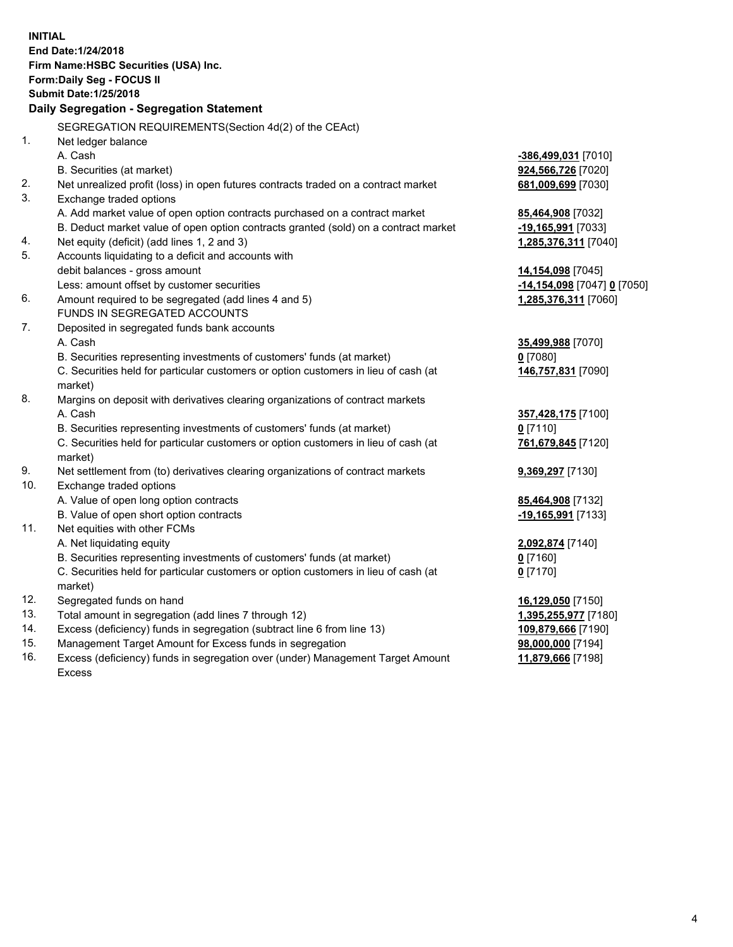**INITIAL End Date:1/24/2018 Firm Name:HSBC Securities (USA) Inc. Form:Daily Seg - FOCUS II Submit Date:1/25/2018 Daily Segregation - Segregation Statement** SEGREGATION REQUIREMENTS(Section 4d(2) of the CEAct) 1. Net ledger balance A. Cash **-386,499,031** [7010] B. Securities (at market) **924,566,726** [7020] 2. Net unrealized profit (loss) in open futures contracts traded on a contract market **681,009,699** [7030] 3. Exchange traded options A. Add market value of open option contracts purchased on a contract market **85,464,908** [7032] B. Deduct market value of open option contracts granted (sold) on a contract market **-19,165,991** [7033] 4. Net equity (deficit) (add lines 1, 2 and 3) **1,285,376,311** [7040] 5. Accounts liquidating to a deficit and accounts with debit balances - gross amount **14,154,098** [7045] Less: amount offset by customer securities **-14,154,098** [7047] **0** [7050] 6. Amount required to be segregated (add lines 4 and 5) **1,285,376,311** [7060] FUNDS IN SEGREGATED ACCOUNTS 7. Deposited in segregated funds bank accounts A. Cash **35,499,988** [7070] B. Securities representing investments of customers' funds (at market) **0** [7080] C. Securities held for particular customers or option customers in lieu of cash (at market) **146,757,831** [7090] 8. Margins on deposit with derivatives clearing organizations of contract markets A. Cash **357,428,175** [7100] B. Securities representing investments of customers' funds (at market) **0** [7110] C. Securities held for particular customers or option customers in lieu of cash (at market) **761,679,845** [7120] 9. Net settlement from (to) derivatives clearing organizations of contract markets **9,369,297** [7130] 10. Exchange traded options A. Value of open long option contracts **85,464,908** [7132] B. Value of open short option contracts **-19,165,991** [7133] 11. Net equities with other FCMs A. Net liquidating equity **2,092,874** [7140] B. Securities representing investments of customers' funds (at market) **0** [7160] C. Securities held for particular customers or option customers in lieu of cash (at market) **0** [7170] 12. Segregated funds on hand **16,129,050** [7150] 13. Total amount in segregation (add lines 7 through 12) **1,395,255,977** [7180] 14. Excess (deficiency) funds in segregation (subtract line 6 from line 13) **109,879,666** [7190] 15. Management Target Amount for Excess funds in segregation **98,000,000** [7194]

16. Excess (deficiency) funds in segregation over (under) Management Target Amount Excess

**11,879,666** [7198]